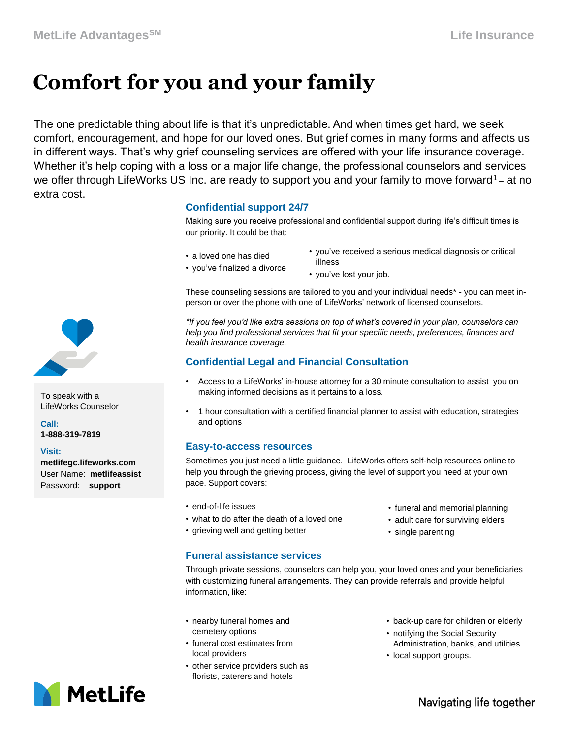# **Comfort for you and your family**

The one predictable thing about life is that it's unpredictable. And when times get hard, we seek comfort, encouragement, and hope for our loved ones. But grief comes in many forms and affects us in different ways. That's why grief counseling services are offered with your life insurance coverage. Whether it's help coping with a loss or a major life change, the professional counselors and services we offer through LifeWorks US Inc. are ready to support you and your family to move forward<sup>1</sup> – at no extra cost.

## **Confidential support 24/7**

Making sure you receive professional and confidential support during life's difficult times is our priority. It could be that:

- a loved one has died
- you've finalized a divorce
- you've received a serious medical diagnosis or critical illness
	- you've lost your job.

These counseling sessions are tailored to you and your individual needs\* - you can meet inperson or over the phone with one of LifeWorks' network of licensed counselors.

*\*If you feel you'd like extra sessions on top of what's covered in your plan, counselors can help you find professional services that fit your specific needs, preferences, finances and health insurance coverage.*

## **Confidential Legal and Financial Consultation**

- Access to a LifeWorks' in-house attorney for a 30 minute consultation to assist you on making informed decisions as it pertains to a loss.
- 1 hour consultation with a certified financial planner to assist with education, strategies and options

### **Easy-to-access resources**

Sometimes you just need a little guidance. LifeWorks offers self-help resources online to help you through the grieving process, giving the level of support you need at your own pace. Support covers:

- end-of-life issues
- what to do after the death of a loved one
- grieving well and getting better
- funeral and memorial planning
- adult care for surviving elders
- single parenting

**Funeral assistance services** 

Through private sessions, counselors can help you, your loved ones and your beneficiaries with customizing funeral arrangements. They can provide referrals and provide helpful information, like:

- nearby funeral homes and cemetery options
- funeral cost estimates from local providers
- other service providers such as florists, caterers and hotels
- back-up care for children or elderly
- notifying the Social Security Administration, banks, and utilities
- local support groups.



### **Visit:**

**metlifegc.lifeworks.com**  User Name: **metlifeassist** Password: **support**



Navigating life together